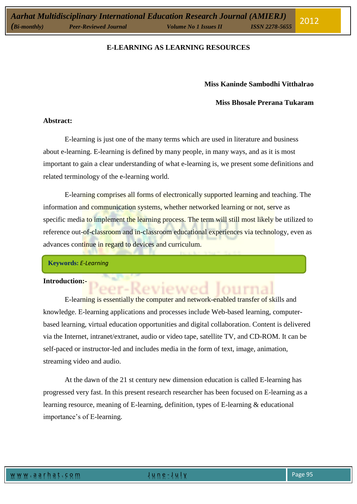## **Miss Kaninde Sambodhi Vitthalrao**

### **Miss Bhosale Prerana Tukaram**

2012

#### **Abstract:**

E-learning is just one of the many terms which are used in literature and business about e-learning. E-learning is defined by many people, in many ways, and as it is most important to gain a clear understanding of what e-learning is, we present some definitions and related terminology of the e-learning world.

E-learning comprises all forms of electronically supported learning and teaching. The information and communication systems, whether networked learning or not, serve as specific media to implement the learning process. The term will still most likely be utilized to reference out-of-classroom and in-classroom educational experiences via technology, even as advances continue in regard to devices and curriculum.

**Keywords:** *E-Learning*

#### **Introduction:-**

E-learning is essentially the computer and network-enabled transfer of skills and knowledge. E-learning applications and processes include Web-based learning, computerbased learning, virtual education opportunities and digital collaboration. Content is delivered via the Internet, intranet/extranet, audio or video tape, satellite TV, and CD-ROM. It can be self-paced or instructor-led and includes media in the form of text, image, animation, streaming video and audio.

At the dawn of the 21 st century new dimension education is called E-learning has progressed very fast. In this present research researcher has been focused on E-learning as a learning resource, meaning of E-learning, definition, types of E-learning & educational importance's of E-learning.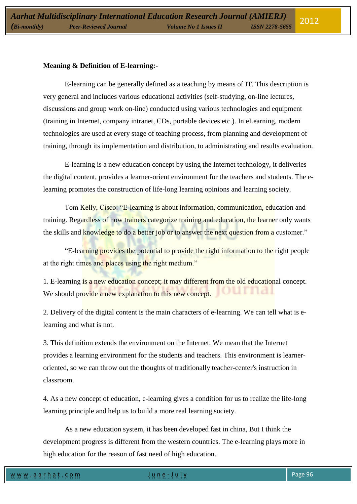### **Meaning & Definition of E-learning:-**

E-learning can be generally defined as a teaching by means of IT. This description is very general and includes various educational activities (self-studying, on-line lectures, discussions and group work on-line) conducted using various technologies and equipment (training in Internet, company intranet, CDs, portable devices etc.). In eLearning, modern technologies are used at every stage of teaching process, from planning and development of training, through its implementation and distribution, to administrating and results evaluation.

E-learning is a new education concept by using the Internet technology, it deliveries the digital content, provides a learner-orient environment for the teachers and students. The elearning promotes the construction of life-long learning opinions and learning society.

Tom Kelly, Cisco: "E-learning is about information, communication, education and training. Regardless of how trainers categorize training and education, the learner only wants the skills and knowledge to do a better job or to answer the next question from a customer."

"E-learning provides the potential to provide the right information to the right people at the right times and places using the right medium."

1. E-learning is a new education concept; it may different from the old educational concept. We should provide a new explanation to this new concept.

2. Delivery of the digital content is the main characters of e-learning. We can tell what is elearning and what is not.

3. This definition extends the environment on the Internet. We mean that the Internet provides a learning environment for the students and teachers. This environment is learneroriented, so we can throw out the thoughts of traditionally teacher-center's instruction in classroom.

4. As a new concept of education, e-learning gives a condition for us to realize the life-long learning principle and help us to build a more real learning society.

As a new education system, it has been developed fast in china, But I think the development progress is different from the western countries. The e-learning plays more in high education for the reason of fast need of high education.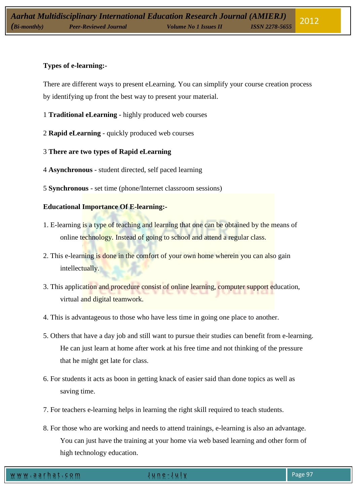# **Types of e-learning:-**

There are different ways to present eLearning. You can simplify your course creation process by identifying up front the best way to present your material.

- 1 **Traditional eLearning** highly produced web courses
- 2 **Rapid eLearning** quickly produced web courses
- 3 **There are two types of Rapid eLearning**
- 4 **Asynchronous** student directed, self paced learning
- 5 **Synchronous** set time (phone/Internet classroom sessions)

# **Educational Importance Of E-learning:-**

- 1. E-learning is a type of teaching and learning that one can be obtained by the means of online technology. Instead of going to school and attend a regular class.
- 2. This e-learning is done in the comfort of your own home wherein you can also gain intellectually.
- 3. This application and procedure consist of online learning, computer support education, virtual and digital teamwork.
- 4. This is advantageous to those who have less time in going one place to another.
- 5. Others that have a day job and still want to pursue their studies can benefit from e-learning. He can just learn at home after work at his free time and not thinking of the pressure that he might get late for class.
- 6. For students it acts as boon in getting knack of easier said than done topics as well as saving time.
- 7. For teachers e-learning helps in learning the right skill required to teach students.
- 8. For those who are working and needs to attend trainings, e-learning is also an advantage. You can just have the training at your home via web based learning and other form of high technology education.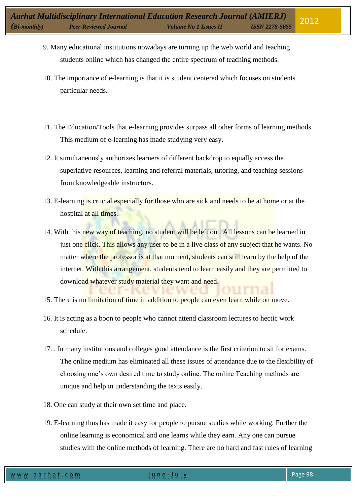- 9. Many educational institutions nowadays are turning up the web world and teaching students online which has changed the entire spectrum of teaching methods.
- 10. The importance of e-learning is that it is student centered which focuses on students particular needs.
- 11. The Education/Tools that e-learning provides surpass all other forms of learning methods. This medium of e-learning has made studying very easy.
- 12. It simultaneously authorizes learners of different backdrop to equally access the superlative resources, learning and referral materials, tutoring, and teaching sessions from knowledgeable instructors.
- 13. E-learning is crucial especially for those who are sick and needs to be at home or at the hospital at all times.
- 14. With this new way of teaching, no student will be left out. All lessons can be learned in just one click. This allows any user to be in a live class of any subject that he wants. No matter where the professor is at that moment, students can still learn by the help of the internet. With this arrangement, students tend to learn easily and they are permitted to download whatever study material they want and need.
- 15. There is no limitation of time in addition to people can even learn while on move.
- 16. It is acting as a boon to people who cannot attend classroom lectures to hectic work schedule.
- 17. . In many institutions and colleges good attendance is the first criterion to sit for exams. The online medium has eliminated all these issues of attendance due to the flexibility of choosing one's own desired time to study online. The online Teaching methods are unique and help in understanding the texts easily.
- 18. One can study at their own set time and place.
- 19. E-learning thus has made it easy for people to pursue studies while working. Further the online learning is economical and one learns while they earn. Any one can pursue studies with the online methods of learning. There are no hard and fast rules of learning